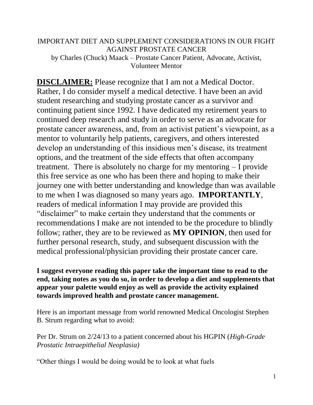### IMPORTANT DIET AND SUPPLEMENT CONSIDERATIONS IN OUR FIGHT AGAINST PROSTATE CANCER by Charles (Chuck) Maack – Prostate Cancer Patient, Advocate, Activist, Volunteer Mentor

**DISCLAIMER:** Please recognize that I am not a Medical Doctor. Rather, I do consider myself a medical detective. I have been an avid student researching and studying prostate cancer as a survivor and continuing patient since 1992. I have dedicated my retirement years to continued deep research and study in order to serve as an advocate for prostate cancer awareness, and, from an activist patient's viewpoint, as a mentor to voluntarily help patients, caregivers, and others interested develop an understanding of this insidious men's disease, its treatment options, and the treatment of the side effects that often accompany treatment. There is absolutely no charge for my mentoring – I provide this free service as one who has been there and hoping to make their journey one with better understanding and knowledge than was available to me when I was diagnosed so many years ago. **IMPORTANTLY**, readers of medical information I may provide are provided this "disclaimer" to make certain they understand that the comments or recommendations I make are not intended to be the procedure to blindly follow; rather, they are to be reviewed as **MY OPINION**, then used for further personal research, study, and subsequent discussion with the medical professional/physician providing their prostate cancer care.

**I suggest everyone reading this paper take the important time to read to the end, taking notes as you do so, in order to develop a diet and supplements that appear your palette would enjoy as well as provide the activity explained towards improved health and prostate cancer management.**

Here is an important message from world renowned Medical Oncologist Stephen B. Strum regarding what to avoid:

Per Dr. Strum on 2/24/13 to a patient concerned about his HGPIN (*High-Grade Prostatic Intraepithelial Neoplasia)*

"Other things I would be doing would be to look at what fuels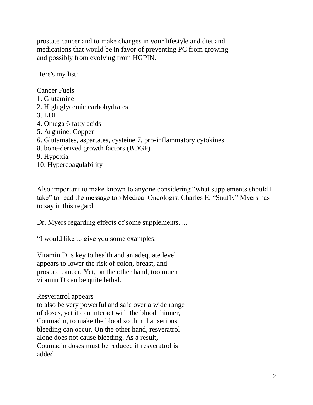prostate cancer and to make changes in your lifestyle and diet and medications that would be in favor of preventing PC from growing and possibly from evolving from HGPIN.

Here's my list:

Cancer Fuels 1. Glutamine 2. High glycemic carbohydrates 3. LDL 4. Omega 6 fatty acids 5. Arginine, Copper 6. Glutamates, aspartates, cysteine 7. pro-inflammatory cytokines 8. bone-derived growth factors (BDGF) 9. Hypoxia 10. Hypercoagulability

Also important to make known to anyone considering "what supplements should I take" to read the message top Medical Oncologist Charles E. "Snuffy" Myers has to say in this regard:

Dr. Myers regarding effects of some supplements….

"I would like to give you some examples.

Vitamin D is key to health and an adequate level appears to lower the risk of colon, breast, and prostate cancer. Yet, on the other hand, too much vitamin D can be quite lethal.

Resveratrol appears

to also be very powerful and safe over a wide range of doses, yet it can interact with the blood thinner, Coumadin, to make the blood so thin that serious bleeding can occur. On the other hand, resveratrol alone does not cause bleeding. As a result, Coumadin doses must be reduced if resveratrol is added.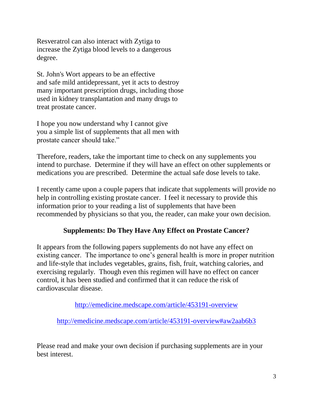Resveratrol can also interact with Zytiga to increase the Zytiga blood levels to a dangerous degree.

St. John's Wort appears to be an effective and safe mild antidepressant, yet it acts to destroy many important prescription drugs, including those used in kidney transplantation and many drugs to treat prostate cancer.

I hope you now understand why I cannot give you a simple list of supplements that all men with prostate cancer should take."

Therefore, readers, take the important time to check on any supplements you intend to purchase. Determine if they will have an effect on other supplements or medications you are prescribed. Determine the actual safe dose levels to take.

I recently came upon a couple papers that indicate that supplements will provide no help in controlling existing prostate cancer. I feel it necessary to provide this information prior to your reading a list of supplements that have been recommended by physicians so that you, the reader, can make your own decision.

# **Supplements: Do They Have Any Effect on Prostate Cancer?**

It appears from the following papers supplements do not have any effect on existing cancer. The importance to one's general health is more in proper nutrition and life-style that includes vegetables, grains, fish, fruit, watching calories, and exercising regularly. Though even this regimen will have no effect on cancer control, it has been studied and confirmed that it can reduce the risk of cardiovascular disease.

<http://emedicine.medscape.com/article/453191-overview>

<http://emedicine.medscape.com/article/453191-overview#aw2aab6b3>

Please read and make your own decision if purchasing supplements are in your best interest.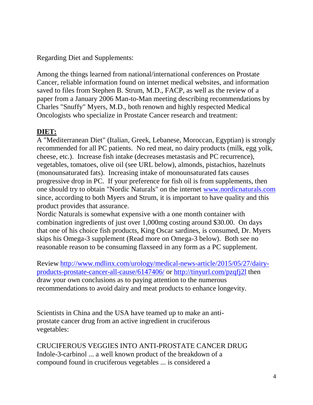Regarding Diet and Supplements:

Among the things learned from national/international conferences on Prostate Cancer, reliable information found on internet medical websites, and information saved to files from Stephen B. Strum, M.D., FACP, as well as the review of a paper from a January 2006 Man-to-Man meeting describing recommendations by Charles "Snuffy" Myers, M.D., both renown and highly respected Medical Oncologists who specialize in Prostate Cancer research and treatment:

# **DIET:**

A "Mediterranean Diet" (Italian, Greek, Lebanese, Moroccan, Egyptian) is strongly recommended for all PC patients. No red meat, no dairy products (milk, egg yolk, cheese, etc.). Increase fish intake (decreases metastasis and PC recurrence), vegetables, tomatoes, olive oil (see URL below), almonds, pistachios, hazelnuts (monounsaturated fats). Increasing intake of monounsaturated fats causes progressive drop in PC. If your preference for fish oil is from supplements, then one should try to obtain "Nordic Naturals" on the internet [www.nordicnaturals.com](http://www.nordicnaturals.com/) since, according to both Myers and Strum, it is important to have quality and this product provides that assurance.

Nordic Naturals is somewhat expensive with a one month container with combination ingredients of just over 1,000mg costing around \$30.00. On days that one of his choice fish products, King Oscar sardines, is consumed, Dr. Myers skips his Omega-3 supplement (Read more on Omega-3 below). Both see no reasonable reason to be consuming flaxseed in any form as a PC supplement.

Review [http://www.mdlinx.com/urology/medical-news-article/2015/05/27/dairy](http://www.mdlinx.com/urology/medical-news-article/2015/05/27/dairy-products-prostate-cancer-all-cause/6147406/)[products-prostate-cancer-all-cause/6147406/](http://www.mdlinx.com/urology/medical-news-article/2015/05/27/dairy-products-prostate-cancer-all-cause/6147406/) or<http://tinyurl.com/pzqfj2l> then draw your own conclusions as to paying attention to the numerous recommendations to avoid dairy and meat products to enhance longevity.

Scientists in China and the USA have teamed up to make an antiprostate cancer drug from an active ingredient in cruciferous vegetables:

CRUCIFEROUS VEGGIES INTO ANTI-PROSTATE CANCER DRUG Indole-3-carbinol ... a well known product of the breakdown of a compound found in cruciferous vegetables ... is considered a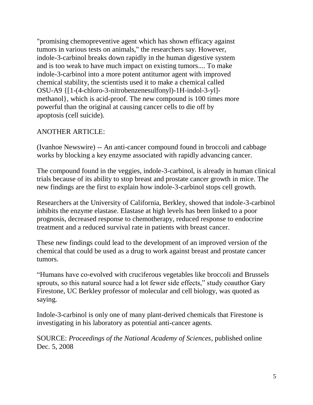"promising chemopreventive agent which has shown efficacy against tumors in various tests on animals," the researchers say. However, indole-3-carbinol breaks down rapidly in the human digestive system and is too weak to have much impact on existing tumors.... To make indole-3-carbinol into a more potent antitumor agent with improved chemical stability, the scientists used it to make a chemical called OSU-A9 {[1-(4-chloro-3-nitrobenzenesulfonyl)-1H-indol-3-yl] methanol}, which is acid-proof. The new compound is 100 times more powerful than the original at causing cancer cells to die off by apoptosis (cell suicide).

## ANOTHER ARTICLE:

(Ivanhoe Newswire) -- An anti-cancer compound found in broccoli and cabbage works by blocking a key enzyme associated with rapidly advancing cancer.

The compound found in the veggies, indole-3-carbinol, is already in human clinical trials because of its ability to stop breast and prostate cancer growth in mice. The new findings are the first to explain how indole-3-carbinol stops cell growth.

Researchers at the University of California, Berkley, showed that indole-3-carbinol inhibits the enzyme elastase. Elastase at high levels has been linked to a poor prognosis, decreased response to chemotherapy, reduced response to endocrine treatment and a reduced survival rate in patients with breast cancer.

These new findings could lead to the development of an improved version of the chemical that could be used as a drug to work against breast and prostate cancer tumors.

"Humans have co-evolved with cruciferous vegetables like broccoli and Brussels sprouts, so this natural source had a lot fewer side effects," study coauthor Gary Firestone, UC Berkley professor of molecular and cell biology, was quoted as saying.

Indole-3-carbinol is only one of many plant-derived chemicals that Firestone is investigating in his laboratory as potential anti-cancer agents.

SOURCE: *Proceedings of the National Academy of Sciences*, published online Dec. 5, 2008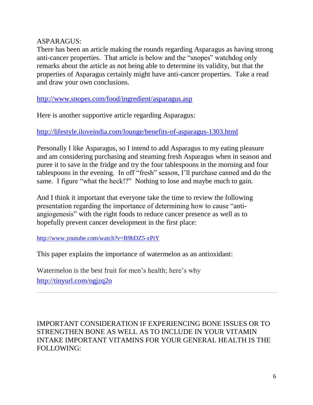### ASPARAGUS:

There has been an article making the rounds regarding Asparagus as having strong anti-cancer properties. That article is below and the "snopes" watchdog only remarks about the article as not being able to determine its validity, but that the properties of Asparagus certainly might have anti-cancer properties. Take a read and draw your own conclusions.

<http://www.snopes.com/food/ingredient/asparagus.asp>

Here is another supportive article regarding Asparagus:

<http://lifestyle.iloveindia.com/lounge/benefits-of-asparagus-1303.html>

Personally I like Asparagus, so I intend to add Asparagus to my eating pleasure and am considering purchasing and steaming fresh Asparagus when in season and puree it to save in the fridge and try the four tablespoons in the morning and four tablespoons in the evening. In off "fresh" season, I'll purchase canned and do the same. I figure "what the heck!?" Nothing to lose and maybe much to gain.

And I think it important that everyone take the time to review the following presentation regarding the importance of determining how to cause "antiangiogenesis" with the right foods to reduce cancer presence as well as to hopefully prevent cancer development in the first place:

<http://www.youtube.com/watch?v=B9bDZ5-zPtY>

This paper explains the importance of watermelon as an antioxidant:

Watermelon is the best fruit for men's health; here's why <http://tinyurl.com/ogjzq2o>

IMPORTANT CONSIDERATION IF EXPERIENCING BONE ISSUES OR TO STRENGTHEN BONE AS WELL AS TO INCLUDE IN YOUR VITAMIN INTAKE IMPORTANT VITAMINS FOR YOUR GENERAL HEALTH IS THE FOLLOWING: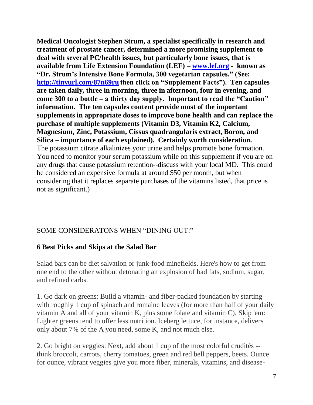**Medical Oncologist Stephen Strum, a specialist specifically in research and treatment of prostate cancer, determined a more promising supplement to deal with several PC/health issues, but particularly bone issues, that is available from Life Extension Foundation (LEF) – [www.lef.org](http://www.lef.org/) - known as "Dr. Strum's Intensive Bone Formula, 300 vegetarian capsules." (See: <http://tinyurl.com/87n69ru> then click on "Supplement Facts"). Ten capsules are taken daily, three in morning, three in afternoon, four in evening, and come 300 to a bottle – a thirty day supply. Important to read the "Caution" information. The ten capsules content provide most of the important supplements in appropriate doses to improve bone health and can replace the purchase of multiple supplements (Vitamin D3, Vitamin K2, Calcium, Magnesium, Zinc, Potassium, Cissus quadrangularis extract, Boron, and Silica – importance of each explained). Certainly worth consideration.** The potassium citrate alkalinizes your urine and helps promote bone formation. You need to monitor your serum potassium while on this supplement if you are on any drugs that cause potassium retention--discuss with your local MD. This could be considered an expensive formula at around \$50 per month, but when considering that it replaces separate purchases of the vitamins listed, that price is not as significant.)

### SOME CONSIDERATONS WHEN "DINING OUT:"

### **6 Best Picks and Skips at the Salad Bar**

Salad bars can be diet salvation or junk-food minefields. Here's how to get from one end to the other without detonating an explosion of bad fats, sodium, sugar, and refined carbs.

1. Go dark on greens: Build a vitamin- and fiber-packed foundation by starting with roughly 1 cup of spinach and romaine leaves (for more than half of your daily vitamin A and all of your vitamin K, plus some folate and vitamin C). Skip 'em: Lighter greens tend to offer less nutrition. Iceberg lettuce, for instance, delivers only about 7% of the A you need, some K, and not much else.

2. Go bright on veggies: Next, add about 1 cup of the most colorful crudités - think broccoli, carrots, cherry tomatoes, green and red bell peppers, beets. Ounce for ounce, vibrant veggies give you more fiber, minerals, vitamins, and disease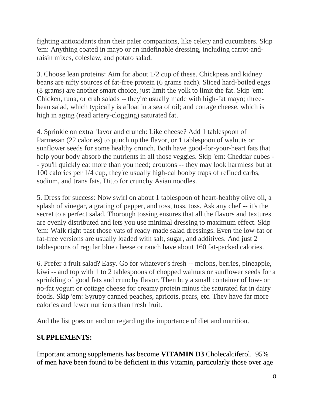fighting antioxidants than their paler companions, like celery and cucumbers. Skip 'em: Anything coated in mayo or an indefinable dressing, including carrot-andraisin mixes, coleslaw, and potato salad.

3. Choose lean proteins: Aim for about 1/2 cup of these. Chickpeas and kidney beans are nifty sources of fat-free protein (6 grams each). Sliced hard-boiled eggs (8 grams) are another smart choice, just limit the yolk to limit the fat. Skip 'em: Chicken, tuna, or crab salads -- they're usually made with high-fat mayo; threebean salad, which typically is afloat in a sea of oil; and cottage cheese, which is high in aging (read artery-clogging) saturated fat.

4. Sprinkle on extra flavor and crunch: Like cheese? Add 1 tablespoon of Parmesan (22 calories) to punch up the flavor, or 1 tablespoon of walnuts or sunflower seeds for some healthy crunch. Both have good-for-your-heart fats that help your body absorb the nutrients in all those veggies. Skip 'em: Cheddar cubes - - you'll quickly eat more than you need; croutons -- they may look harmless but at 100 calories per 1/4 cup, they're usually high-cal booby traps of refined carbs, sodium, and trans fats. Ditto for crunchy Asian noodles.

5. Dress for success: Now swirl on about 1 tablespoon of heart-healthy olive oil, a splash of vinegar, a grating of pepper, and toss, toss, toss. Ask any chef -- it's the secret to a perfect salad. Thorough tossing ensures that all the flavors and textures are evenly distributed and lets you use minimal dressing to maximum effect. Skip 'em: Walk right past those vats of ready-made salad dressings. Even the low-fat or fat-free versions are usually loaded with salt, sugar, and additives. And just 2 tablespoons of regular blue cheese or ranch have about 160 fat-packed calories.

6. Prefer a fruit salad? Easy. Go for whatever's fresh -- melons, berries, pineapple, kiwi -- and top with 1 to 2 tablespoons of chopped walnuts or sunflower seeds for a sprinkling of good fats and crunchy flavor. Then buy a small container of low- or no-fat yogurt or cottage cheese for creamy protein minus the saturated fat in dairy foods. Skip 'em: Syrupy canned peaches, apricots, pears, etc. They have far more calories and fewer nutrients than fresh fruit.

And the list goes on and on regarding the importance of diet and nutrition.

# **SUPPLEMENTS:**

Important among supplements has become **VITAMIN D3** Cholecalciferol. 95% of men have been found to be deficient in this Vitamin, particularly those over age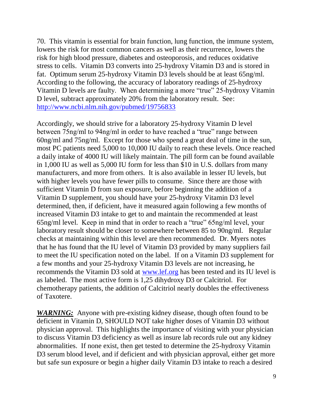70. This vitamin is essential for brain function, lung function, the immune system, lowers the risk for most common cancers as well as their recurrence, lowers the risk for high blood pressure, diabetes and osteoporosis, and reduces oxidative stress to cells. Vitamin D3 converts into 25-hydroxy Vitamin D3 and is stored in fat. Optimum serum 25-hydroxy Vitamin D3 levels should be at least 65ng/ml. According to the following, the accuracy of laboratory readings of 25-hydroxy Vitamin D levels are faulty. When determining a more "true" 25-hydroxy Vitamin D level, subtract approximately 20% from the laboratory result. See: <http://www.ncbi.nlm.nih.gov/pubmed/19756833>

Accordingly, we should strive for a laboratory 25-hydroxy Vitamin D level between 75ng/ml to 94ng/ml in order to have reached a "true" range between 60ng/ml and 75ng/ml. Except for those who spend a great deal of time in the sun, most PC patients need 5,000 to 10,000 IU daily to reach these levels. Once reached a daily intake of 4000 IU will likely maintain. The pill form can be found available in 1,000 IU as well as 5,000 IU form for less than \$10 in U.S. dollars from many manufacturers, and more from others. It is also available in lesser IU levels, but with higher levels you have fewer pills to consume. Since there are those with sufficient Vitamin D from sun exposure, before beginning the addition of a Vitamin D supplement, you should have your 25-hydroxy Vitamin D3 level determined, then, if deficient, have it measured again following a few months of increased Vitamin D3 intake to get to and maintain the recommended at least 65ng/ml level. Keep in mind that in order to reach a "true" 65ng/ml level, your laboratory result should be closer to somewhere between 85 to 90ng/ml. Regular checks at maintaining within this level are then recommended. Dr. Myers notes that he has found that the IU level of Vitamin D3 provided by many suppliers fail to meet the IU specification noted on the label. If on a Vitamin D3 supplement for a few months and your 25-hydroxy Vitamin D3 levels are not increasing, he recommends the Vitamin D3 sold at [www.lef.org](http://www.lef.org/) has been tested and its IU level is as labeled. The most active form is 1,25 dihydroxy D3 or Calcitriol. For chemotherapy patients, the addition of Calcitriol nearly doubles the effectiveness of Taxotere.

*WARNING:* Anyone with pre-existing kidney disease, though often found to be deficient in Vitamin D, SHOULD NOT take higher doses of Vitamin D3 without physician approval. This highlights the importance of visiting with your physician to discuss Vitamin D3 deficiency as well as insure lab records rule out any kidney abnormalities. If none exist, then get tested to determine the 25-hydroxy Vitamin D3 serum blood level, and if deficient and with physician approval, either get more but safe sun exposure or begin a higher daily Vitamin D3 intake to reach a desired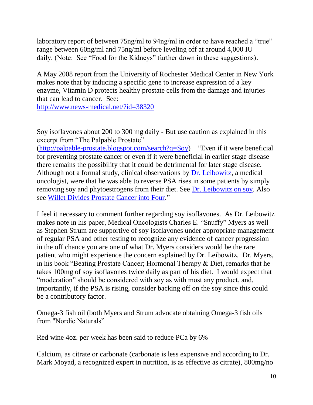laboratory report of between 75ng/ml to 94ng/ml in order to have reached a "true" range between 60ng/ml and 75ng/ml before leveling off at around 4,000 IU daily. (Note: See "Food for the Kidneys" further down in these suggestions).

A May 2008 report from the University of Rochester Medical Center in New York makes note that by inducing a specific gene to increase expression of a key enzyme, Vitamin D protects healthy prostate cells from the damage and injuries that can lead to cancer. See:

<http://www.news-medical.net/?id=38320>

Soy isoflavones about 200 to 300 mg daily - But use caution as explained in this excerpt from "The Palpable Prostate"

[\(http://palpable-prostate.blogspot.com/search?q=Soy\)](http://palpable-prostate.blogspot.com/search?q=Soy) "Even if it were beneficial for preventing prostate cancer or even if it were beneficial in earlier stage disease there remains the possibility that it could be detrimental for later stage disease. Although not a formal study, clinical observations by [Dr. Leibowitz,](http://www.compassionateoncology.org/) a medical oncologist, were that he was able to reverse PSA rises in some patients by simply removing soy and phytoestrogens from their diet. See [Dr. Leibowitz on soy.](http://www.compassionateoncology.org/pdfs/soy.1007.pdf) Also see [Willet Divides Prostate Cancer into Four.](http://palpable-prostate.blogspot.com/2007/10/willet-divides-prostate-cancer-into.html)"

I feel it necessary to comment further regarding soy isoflavones. As Dr. Leibowitz makes note in his paper, Medical Oncologists Charles E. "Snuffy" Myers as well as Stephen Strum are supportive of soy isoflavones under appropriate management of regular PSA and other testing to recognize any evidence of cancer progression in the off chance you are one of what Dr. Myers considers would be the rare patient who might experience the concern explained by Dr. Leibowitz. Dr. Myers, in his book "Beating Prostate Cancer; Hormonal Therapy & Diet, remarks that he takes 100mg of soy isoflavones twice daily as part of his diet. I would expect that "moderation" should be considered with soy as with most any product, and, importantly, if the PSA is rising, consider backing off on the soy since this could be a contributory factor.

Omega-3 fish oil (both Myers and Strum advocate obtaining Omega-3 fish oils from "Nordic Naturals"

Red wine 4oz. per week has been said to reduce PCa by 6%

Calcium, as citrate or carbonate (carbonate is less expensive and according to Dr. Mark Moyad, a recognized expert in nutrition, is as effective as citrate), 800mg/no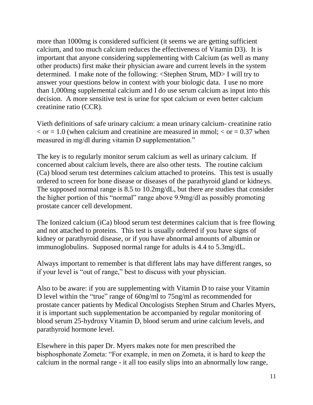more than 1000mg is considered sufficient (it seems we are getting sufficient calcium, and too much calcium reduces the effectiveness of Vitamin D3). It is important that anyone considering supplementing with Calcium (as well as many other products) first make their physician aware and current levels in the system determined. I make note of the following: <Stephen Strum, MD> I will try to answer your questions below in context with your biologic data. I use no more than 1,000mg supplemental calcium and I do use serum calcium as input into this decision. A more sensitive test is urine for spot calcium or even better calcium creatinine ratio (CCR).

Vieth definitions of safe urinary calcium: a mean urinary calcium- creatinine ratio  $\epsilon$  or = 1.0 (when calcium and creatinine are measured in mmol;  $\epsilon$  or = 0.37 when measured in mg/dl during vitamin D supplementation."

The key is to regularly monitor serum calcium as well as urinary calcium. If concerned about calcium levels, there are also other tests. The routine calcium (Ca) blood serum test determines calcium attached to proteins. This test is usually ordered to screen for bone disease or diseases of the parathyroid gland or kidneys. The supposed normal range is 8.5 to 10.2mg/dL, but there are studies that consider the higher portion of this "normal" range above 9.9mg/dl as possibly promoting prostate cancer cell development.

The Ionized calcium (iCa) blood serum test determines calcium that is free flowing and not attached to proteins. This test is usually ordered if you have signs of kidney or parathyroid disease, or if you have abnormal amounts of albumin or immunoglobulins. Supposed normal range for adults is 4.4 to 5.3mg/dL.

Always important to remember is that different labs may have different ranges, so if your level is "out of range," best to discuss with your physician.

Also to be aware: if you are supplementing with Vitamin D to raise your Vitamin D level within the "true" range of 60ng/ml to 75ng/ml as recommended for prostate cancer patients by Medical Oncologists Stephen Strum and Charles Myers, it is important such supplementation be accompanied by regular monitoring of blood serum 25-hydroxy Vitamin D, blood serum and urine calcium levels, and parathyroid hormone level.

Elsewhere in this paper Dr. Myers makes note for men prescribed the bisphosphonate Zometa: "For example, in men on Zometa, it is hard to keep the calcium in the normal range - it all too easily slips into an abnormally low range,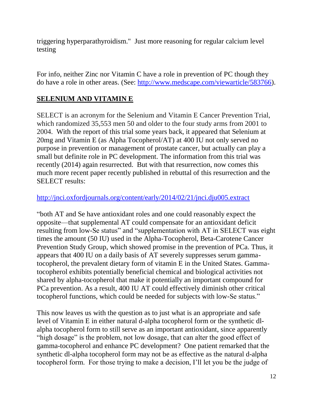triggering hyperparathyroidism." Just more reasoning for regular calcium level testing

For info, neither Zinc nor Vitamin C have a role in prevention of PC though they do have a role in other areas. (See: [http://www.medscape.com/viewarticle/583766\)](http://www.medscape.com/viewarticle/583766).

# **SELENIUM AND VITAMIN E**

SELECT is an acronym for the Selenium and Vitamin E Cancer Prevention Trial, which randomized 35,553 men 50 and older to the four study arms from 2001 to 2004. With the report of this trial some years back, it appeared that Selenium at 20mg and Vitamin E (as Alpha Tocopherol/AT) at 400 IU not only served no purpose in prevention or management of prostate cancer, but actually can play a small but definite role in PC development. The information from this trial was recently (2014) again resurrected. But with that resurrection, now comes this much more recent paper recently published in rebuttal of this resurrection and the SELECT results:

#### <http://jnci.oxfordjournals.org/content/early/2014/02/21/jnci.dju005.extract>

"both AT and Se have antioxidant roles and one could reasonably expect the opposite—that supplemental AT could compensate for an antioxidant deficit resulting from low-Se status" and "supplementation with AT in SELECT was eight times the amount (50 IU) used in the Alpha-Tocopherol, Beta-Carotene Cancer Prevention Study Group, which showed promise in the prevention of PCa. Thus, it appears that 400 IU on a daily basis of AT severely suppresses serum gammatocopherol, the prevalent dietary form of vitamin E in the United States. Gammatocopherol exhibits potentially beneficial chemical and biological activities not shared by alpha-tocopherol that make it potentially an important compound for PCa prevention. As a result, 400 IU AT could effectively diminish other critical tocopherol functions, which could be needed for subjects with low-Se status."

This now leaves us with the question as to just what is an appropriate and safe level of Vitamin E in either natural d-alpha tocopherol form or the synthetic dlalpha tocopherol form to still serve as an important antioxidant, since apparently "high dosage" is the problem, not low dosage, that can alter the good effect of gamma-tocopherol and enhance PC development? One patient remarked that the synthetic dl-alpha tocopherol form may not be as effective as the natural d-alpha tocopherol form. For those trying to make a decision, I'll let you be the judge of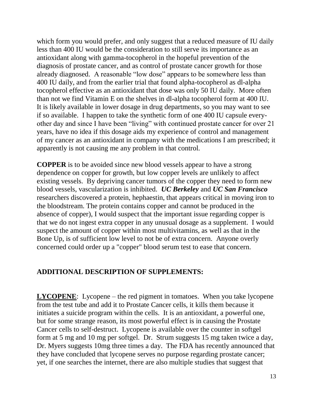which form you would prefer, and only suggest that a reduced measure of IU daily less than 400 IU would be the consideration to still serve its importance as an antioxidant along with gamma-tocopherol in the hopeful prevention of the diagnosis of prostate cancer, and as control of prostate cancer growth for those already diagnosed. A reasonable "low dose" appears to be somewhere less than 400 IU daily, and from the earlier trial that found alpha-tocopherol as dl-alpha tocopherol effective as an antioxidant that dose was only 50 IU daily. More often than not we find Vitamin E on the shelves in dl-alpha tocopherol form at 400 IU. It is likely available in lower dosage in drug departments, so you may want to see if so available. I happen to take the synthetic form of one 400 IU capsule everyother day and since I have been "living" with continued prostate cancer for over 21 years, have no idea if this dosage aids my experience of control and management of my cancer as an antioxidant in company with the medications I am prescribed; it apparently is not causing me any problem in that control.

**COPPER** is to be avoided since new blood vessels appear to have a strong dependence on copper for growth, but low copper levels are unlikely to affect existing vessels. By depriving cancer tumors of the copper they need to form new blood vessels, vascularization is inhibited. *UC Berkeley* and *UC San Francisco*  researchers discovered a protein, hephaestin, that appears critical in moving iron to the bloodstream. The protein contains copper and cannot be produced in the absence of copper), I would suspect that the important issue regarding copper is that we do not ingest extra copper in any unusual dosage as a supplement. I would suspect the amount of copper within most multivitamins, as well as that in the Bone Up, is of sufficient low level to not be of extra concern. Anyone overly concerned could order up a "copper" blood serum test to ease that concern.

### **ADDITIONAL DESCRIPTION OF SUPPLEMENTS:**

**LYCOPENE**: Lycopene – the red pigment in tomatoes. When you take lycopene from the test tube and add it to Prostate Cancer cells, it kills them because it initiates a suicide program within the cells. It is an antioxidant, a powerful one, but for some strange reason, its most powerful effect is in causing the Prostate Cancer cells to self-destruct. Lycopene is available over the counter in softgel form at 5 mg and 10 mg per softgel. Dr. Strum suggests 15 mg taken twice a day, Dr. Myers suggests 10mg three times a day. The FDA has recently announced that they have concluded that lycopene serves no purpose regarding prostate cancer; yet, if one searches the internet, there are also multiple studies that suggest that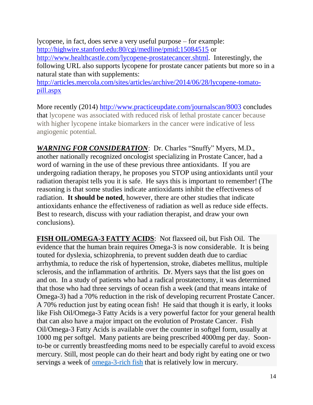lycopene, in fact, does serve a very useful purpose – for example: [http://highwire.stanford.edu:80/cgi/medline/pmid;15084515](http://highwire.stanford.edu/cgi/medline/pmid;15084515) or [http://www.healthcastle.com/lycopene-prostatecancer.shtml.](http://www.healthcastle.com/lycopene-prostatecancer.shtml) Interestingly, the following URL also supports lycopene for prostate cancer patients but more so in a natural state than with supplements:

[http://articles.mercola.com/sites/articles/archive/2014/06/28/lycopene-tomato](http://articles.mercola.com/sites/articles/archive/2014/06/28/lycopene-tomato-pill.aspx)[pill.aspx](http://articles.mercola.com/sites/articles/archive/2014/06/28/lycopene-tomato-pill.aspx)

More recently (2014)<http://www.practiceupdate.com/journalscan/8003> concludes that lycopene was associated with reduced risk of lethal prostate cancer because with higher lycopene intake biomarkers in the cancer were indicative of less angiogenic potential.

*WARNING FOR CONSIDERATION*: Dr. Charles "Snuffy" Myers, M.D., another nationally recognized oncologist specializing in Prostate Cancer, had a word of warning in the use of these previous three antioxidants. If you are undergoing radiation therapy, he proposes you STOP using antioxidants until your radiation therapist tells you it is safe. He says this is important to remember! (The reasoning is that some studies indicate antioxidants inhibit the effectiveness of radiation. **It should be noted**, however, there are other studies that indicate antioxidants enhance the effectiveness of radiation as well as reduce side effects. Best to research, discuss with your radiation therapist, and draw your own conclusions).

**FISH OIL/OMEGA-3 FATTY ACIDS**: Not flaxseed oil, but Fish Oil. The evidence that the human brain requires Omega-3 is now considerable. It is being touted for dyslexia, schizophrenia, to prevent sudden death due to cardiac arrhythmia, to reduce the risk of hypertension, stroke, diabetes mellitus, multiple sclerosis, and the inflammation of arthritis. Dr. Myers says that the list goes on and on. In a study of patients who had a radical prostatectomy, it was determined that those who had three servings of ocean fish a week (and that means intake of Omega-3) had a 70% reduction in the risk of developing recurrent Prostate Cancer. A 70% reduction just by eating ocean fish! He said that though it is early, it looks like Fish Oil/Omega-3 Fatty Acids is a very powerful factor for your general health that can also have a major impact on the evolution of Prostate Cancer. Fish Oil/Omega-3 Fatty Acids is available over the counter in softgel form, usually at 1000 mg per softgel. Many patients are being prescribed 4000mg per day. Soonto-be or currently breastfeeding moms need to be especially careful to avoid excess mercury. Still, most people can do their heart and body right by eating one or two servings a week of [omega-3-rich fish](http://www.realage.com/srch/RASearch.aspx?query=omega-3+fish) that is relatively low in mercury.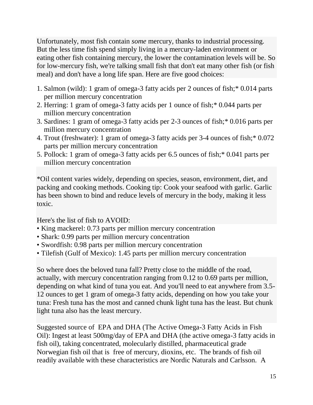Unfortunately, most fish contain *some* mercury, thanks to industrial processing. But the less time fish spend simply living in a mercury-laden environment or eating other fish containing mercury, the lower the contamination levels will be. So for low-mercury fish, we're talking small fish that don't eat many other fish (or fish meal) and don't have a long life span. Here are five good choices:

- 1. Salmon (wild): 1 gram of omega-3 fatty acids per 2 ounces of fish;\* 0.014 parts per million mercury concentration
- 2. Herring: 1 gram of omega-3 fatty acids per 1 ounce of fish;\* 0.044 parts per million mercury concentration
- 3. Sardines: 1 gram of omega-3 fatty acids per 2-3 ounces of fish;\* 0.016 parts per million mercury concentration
- 4. Trout (freshwater): 1 gram of omega-3 fatty acids per 3-4 ounces of fish;\* 0.072 parts per million mercury concentration
- 5. Pollock: 1 gram of omega-3 fatty acids per 6.5 ounces of fish;\* 0.041 parts per million mercury concentration

\*Oil content varies widely, depending on species, season, environment, diet, and packing and cooking methods. Cooking tip: Cook your seafood with garlic. Garlic has been shown to bind and reduce levels of mercury in the body, making it less toxic.

Here's the list of fish to AVOID:

- King mackerel: 0.73 parts per million mercury concentration
- Shark: 0.99 parts per million mercury concentration
- Swordfish: 0.98 parts per million mercury concentration
- Tilefish (Gulf of Mexico): 1.45 parts per million mercury concentration

So where does the beloved tuna fall? Pretty close to the middle of the road, actually, with mercury concentration ranging from 0.12 to 0.69 parts per million, depending on what kind of tuna you eat. And you'll need to eat anywhere from 3.5- 12 ounces to get 1 gram of omega-3 fatty acids, depending on how you take your tuna: Fresh tuna has the most and canned chunk light tuna has the least. But chunk light tuna also has the least mercury.

Suggested source of EPA and DHA (The Active Omega-3 Fatty Acids in Fish Oil): Ingest at least 500mg/day of EPA and DHA (the active omega-3 fatty acids in fish oil), taking concentrated, molecularly distilled, pharmaceutical grade Norwegian fish oil that is free of mercury, dioxins, etc. The brands of fish oil readily available with these characteristics are Nordic Naturals and Carlsson. A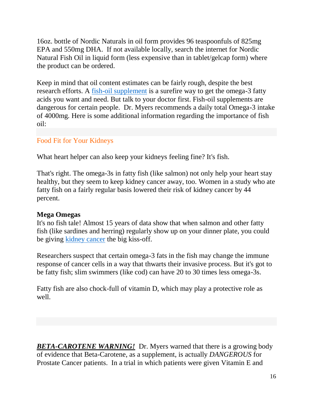16oz. bottle of Nordic Naturals in oil form provides 96 teaspoonfuls of 825mg EPA and 550mg DHA. If not available locally, search the internet for Nordic Natural Fish Oil in liquid form (less expensive than in tablet/gelcap form) where the product can be ordered.

Keep in mind that oil content estimates can be fairly rough, despite the best research efforts. A [fish-oil supplement](http://www.realage.com/srch/RASearch.aspx?query=fish-oil+supplements) is a surefire way to get the omega-3 fatty acids you want and need. But talk to your doctor first. Fish-oil supplements are dangerous for certain people. Dr. Myers recommends a daily total Omega-3 intake of 4000mg. Here is some additional information regarding the importance of fish oil:

#### Food Fit for Your Kidneys

What heart helper can also keep your kidneys feeling fine? It's fish.

That's right. The omega-3s in fatty fish (like salmon) not only help your heart stay healthy, but they seem to keep kidney cancer away, too. Women in a study who ate fatty fish on a fairly regular basis lowered their risk of kidney cancer by 44 percent.

#### **Mega Omegas**

It's no fish tale! Almost 15 years of data show that when salmon and other fatty fish (like sardines and herring) regularly show up on your dinner plate, you could be giving [kidney cancer](http://www.realage.com/research_library/searchResults.aspx?link=crsfiles/aha/aha_renalca_crs.htm) the big kiss-off.

Researchers suspect that certain omega-3 fats in the fish may change the immune response of cancer cells in a way that thwarts their invasive process. But it's got to be fatty fish; slim swimmers (like cod) can have 20 to 30 times less omega-3s.

Fatty fish are also chock-full of vitamin D, which may play a protective role as well.

**BETA-CAROTENE WARNING!** Dr. Myers warned that there is a growing body of evidence that Beta-Carotene, as a supplement, is actually *DANGEROUS* for Prostate Cancer patients. In a trial in which patients were given Vitamin E and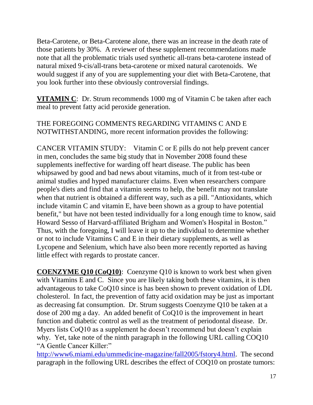Beta-Carotene, or Beta-Carotene alone, there was an increase in the death rate of those patients by 30%. A reviewer of these supplement recommendations made note that all the problematic trials used synthetic all-trans beta-carotene instead of natural mixed 9-cis/all-trans beta-carotene or mixed natural carotenoids. We would suggest if any of you are supplementing your diet with Beta-Carotene, that you look further into these obviously controversial findings.

**VITAMIN C**: Dr. Strum recommends 1000 mg of Vitamin C be taken after each meal to prevent fatty acid peroxide generation.

THE FOREGOING COMMENTS REGARDING VITAMINS C AND E NOTWITHSTANDING, more recent information provides the following:

CANCER VITAMIN STUDY: Vitamin C or E pills do not help prevent cancer in men, concludes the same big study that in November 2008 found these supplements ineffective for warding off heart disease. The public has been whipsawed by good and bad news about vitamins, much of it from test-tube or animal studies and hyped manufacturer claims. Even when researchers compare people's diets and find that a vitamin seems to help, the benefit may not translate when that nutrient is obtained a different way, such as a pill. "Antioxidants, which include vitamin C and vitamin E, have been shown as a group to have potential benefit," but have not been tested individually for a long enough time to know, said Howard Sesso of Harvard-affiliated Brigham and Women's Hospital in Boston." Thus, with the foregoing, I will leave it up to the individual to determine whether or not to include Vitamins C and E in their dietary supplements, as well as Lycopene and Selenium, which have also been more recently reported as having little effect with regards to prostate cancer.

**COENZYME Q10 (CoQ10)**: Coenzyme Q10 is known to work best when given with Vitamins E and C. Since you are likely taking both these vitamins, it is then advantageous to take CoQ10 since is has been shown to prevent oxidation of LDL cholesterol. In fact, the prevention of fatty acid oxidation may be just as important as decreasing fat consumption. Dr. Strum suggests Coenzyme Q10 be taken at a dose of 200 mg a day. An added benefit of CoQ10 is the improvement in heart function and diabetic control as well as the treatment of periodontal disease. Dr. Myers lists CoQ10 as a supplement he doesn't recommend but doesn't explain why. Yet, take note of the ninth paragraph in the following URL calling COQ10 "A Gentle Cancer Killer:"

[http://www6.miami.edu/ummedicine-magazine/fall2005/fstory4.html.](http://www6.miami.edu/ummedicine-magazine/fall2005/fstory4.html) The second paragraph in the following URL describes the effect of COQ10 on prostate tumors: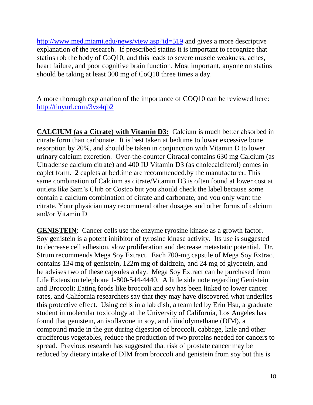<http://www.med.miami.edu/news/view.asp?id=519> and gives a more descriptive explanation of the research. If prescribed statins it is important to recognize that statins rob the body of CoQ10, and this leads to severe muscle weakness, aches, heart failure, and poor cognitive brain function. Most important, anyone on statins should be taking at least 300 mg of CoQ10 three times a day.

A more thorough explanation of the importance of COQ10 can be reviewed here: <http://tinyurl.com/3vz4qb2>

**CALCIUM (as a Citrate) with Vitamin D3:** Calcium is much better absorbed in citrate form than carbonate. It is best taken at bedtime to lower excessive bone resorption by 20%, and should be taken in conjunction with Vitamin D to lower urinary calcium excretion. Over-the-counter Citracal contains 630 mg Calcium (as Ultradense calcium citrate) and 400 IU Vitamin D3 (as cholecalciferol) comes in caplet form. 2 caplets at bedtime are recommended.by the manufacturer. This same combination of Calcium as citrate/Vitamin D3 is often found at lower cost at outlets like Sam's Club or Costco but you should check the label because some contain a calcium combination of citrate and carbonate, and you only want the citrate. Your physician may recommend other dosages and other forms of calcium and/or Vitamin D.

**GENISTEIN**: Cancer cells use the enzyme tyrosine kinase as a growth factor. Soy genistein is a potent inhibitor of tyrosine kinase activity. Its use is suggested to decrease cell adhesion, slow proliferation and decrease metastatic potential. Dr. Strum recommends Mega Soy Extract. Each 700-mg capsule of Mega Soy Extract contains 134 mg of genistein, 122m mg of daidzein, and 24 mg of glycetein, and he advises two of these capsules a day. Mega Soy Extract can be purchased from Life Extension telephone 1-800-544-4440. A little side note regarding Genistein and Broccoli: Eating foods like broccoli and soy has been linked to lower cancer rates, and California researchers say that they may have discovered what underlies this protective effect. Using cells in a lab dish, a team led by Erin Hsu, a graduate student in molecular toxicology at the University of California, Los Angeles has found that genistein, an isoflavone in soy, and diindolymethane (DIM), a compound made in the gut during digestion of broccoli, cabbage, kale and other cruciferous vegetables, reduce the production of two proteins needed for cancers to spread. Previous research has suggested that risk of prostate cancer may be reduced by dietary intake of DIM from broccoli and genistein from soy but this is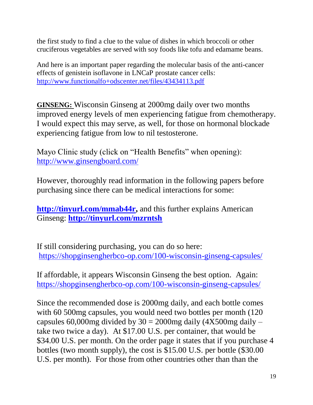the first study to find a clue to the value of dishes in which broccoli or other cruciferous vegetables are served with soy foods like tofu and edamame beans.

And here is an important paper regarding the molecular basis of the anti-cancer effects of genistein isoflavone in LNCaP prostate cancer cells: <http://www.functionalfo+odscenter.net/files/43434113.pdf>

**GINSENG:** Wisconsin Ginseng at 2000mg daily over two months improved energy levels of men experiencing fatigue from chemotherapy. I would expect this may serve, as well, for those on hormonal blockade experiencing fatigue from low to nil testosterone.

Mayo Clinic study (click on "Health Benefits" when opening): <http://www.ginsengboard.com/>

However, thoroughly read information in the following papers before purchasing since there can be medical interactions for some:

**[http://tinyurl.com/mmab44r,](http://tinyurl.com/mmab44r)** and this further explains American Ginseng: **<http://tinyurl.com/mzrntsh>**

If still considering purchasing, you can do so here: <https://shopginsengherbco-op.com/100-wisconsin-ginseng-capsules/>

If affordable, it appears Wisconsin Ginseng the best option. Again: <https://shopginsengherbco-op.com/100-wisconsin-ginseng-capsules/>

Since the recommended dose is 2000mg daily, and each bottle comes with 60 500mg capsules, you would need two bottles per month (120 capsules 60,000mg divided by  $30 = 2000$ mg daily (4X500mg daily – take two twice a day). At \$17.00 U.S. per container, that would be \$34.00 U.S. per month. On the order page it states that if you purchase 4 bottles (two month supply), the cost is \$15.00 U.S. per bottle (\$30.00 U.S. per month). For those from other countries other than than the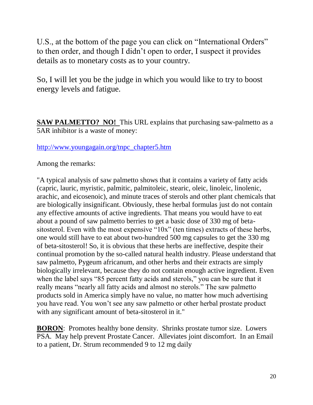U.S., at the bottom of the page you can click on "International Orders" to then order, and though I didn't open to order, I suspect it provides details as to monetary costs as to your country.

So, I will let you be the judge in which you would like to try to boost energy levels and fatigue.

**SAW PALMETTO? NO!** This URL explains that purchasing saw-palmetto as a 5AR inhibitor is a waste of money:

#### [http://www.youngagain.org/tnpc\\_chapter5.htm](http://www.youngagain.org/tnpc_chapter5.htm)

Among the remarks:

"A typical analysis of saw palmetto shows that it contains a variety of fatty acids (capric, lauric, myristic, palmitic, palmitoleic, stearic, oleic, linoleic, linolenic, arachic, and eicosenoic), and minute traces of sterols and other plant chemicals that are biologically insignificant. Obviously, these herbal formulas just do not contain any effective amounts of active ingredients. That means you would have to eat about a pound of saw palmetto berries to get a basic dose of 330 mg of betasitosterol. Even with the most expensive "10x" (ten times) extracts of these herbs, one would still have to eat about two-hundred 500 mg capsules to get the 330 mg of beta-sitosterol! So, it is obvious that these herbs are ineffective, despite their continual promotion by the so-called natural health industry. Please understand that saw palmetto, Pygeum africanum, and other herbs and their extracts are simply biologically irrelevant, because they do not contain enough active ingredient. Even when the label says "85 percent fatty acids and sterols," you can be sure that it really means "nearly all fatty acids and almost no sterols." The saw palmetto products sold in America simply have no value, no matter how much advertising you have read. You won't see any saw palmetto or other herbal prostate product with any significant amount of beta-sitosterol in it."

**BORON**: Promotes healthy bone density. Shrinks prostate tumor size. Lowers PSA. May help prevent Prostate Cancer. Alleviates joint discomfort. In an Email to a patient, Dr. Strum recommended 9 to 12 mg daily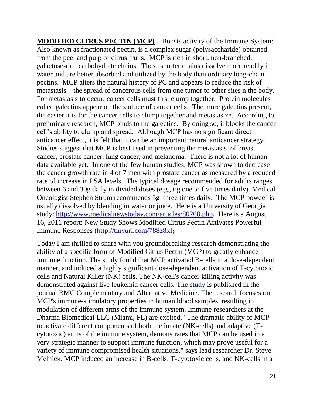**MODIFIED CITRUS PECTIN (MCP)** – Boosts activity of the Immune System: Also known as fractionated pectin, is a complex sugar (polysaccharide) obtained from the peel and pulp of citrus fruits. MCP is rich in short, non-branched, galactose-rich carbohydrate chains. These shorter chains dissolve more readily in water and are better absorbed and utilized by the body than ordinary long-chain pectins. MCP alters the natural history of PC and appears to reduce the risk of metastasis – the spread of cancerous cells from one tumor to other sites n the body. For metastasis to occur, cancer cells must first clump together. Protein molecules called galectins appear on the surface of cancer cells. The more galectins present, the easier it is for the cancer cells to clump together and metastasize. According to preliminary research, MCP binds to the galectins. By doing so, it blocks the cancer cell's ability to clump and spread. Although MCP has no significant direct anticancer effect, it is felt that it can be an important natural anticancer strategy. Studies suggest that MCP is best used in preventing the metastasis of breast cancer, prostate cancer, lung cancer, and melanoma. There is not a lot of human data available yet. In one of the few human studies, MCP was shown to decrease the cancer growth rate in 4 of 7 men with prostate cancer as measured by a reduced rate of increase in PSA levels. The typical dosage recommended for adults ranges between 6 and 30g daily in divided doses (e.g., 6g one to five times daily). Medical Oncologist Stephen Strum recommends 5g three times daily. The MCP powder is usually dissolved by blending in water or juice. Here is a University of Georgia study: [http://www.medicalnewstoday.com/articles/80268.php.](http://www.medicalnewstoday.com/articles/80268.php) Here is a August 16, 2011 report: New Study Shows Modified Citrus Pectin Activates Powerful Immune Responses [\(http://tinyurl.com/788z8xf](http://tinyurl.com/788z8xf)**)**

Today I am thrilled to share with you groundbreaking research demonstrating the ability of a specific form of Modified Citrus Pectin (MCP) to greatly enhance immune function. The study found that MCP activated B-cells in a dose-dependent manner, and induced a highly significant dose-dependent activation of T-cytotoxic cells and Natural Killer (NK) cells. The NK-cell's cancer killing activity was demonstrated against live leukemia cancer cells. The [study](http://www.biomedcentral.com/1472-6882/11/59/abstract) is published in the journal BMC Complementary and Alternative Medicine. The research focuses on MCP's immune-stimulatory properties in human blood samples, resulting in modulation of different arms of the immune system. Immune researchers at the Dharma Biomedical LLC (Miami, FL) are excited. "The dramatic ability of MCP to activate different components of both the innate (NK-cells) and adaptive (Tcytotoxic) arms of the immune system, demonstrates that MCP can be used in a very strategic manner to support immune function, which may prove useful for a variety of immune compromised health situations," says lead researcher Dr. Steve Melnick. MCP induced an increase in B-cells, T-cytotoxic cells, and NK-cells in a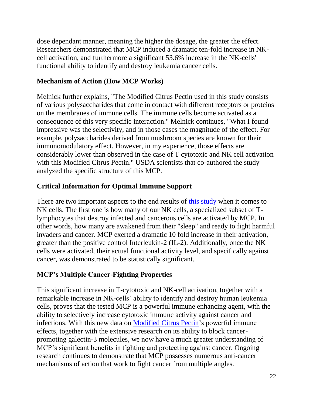dose dependant manner, meaning the higher the dosage, the greater the effect. Researchers demonstrated that MCP induced a dramatic ten-fold increase in NKcell activation, and furthermore a significant 53.6% increase in the NK-cells' functional ability to identify and destroy leukemia cancer cells.

# **Mechanism of Action (How MCP Works)**

Melnick further explains, "The Modified Citrus Pectin used in this study consists of various polysaccharides that come in contact with different receptors or proteins on the membranes of immune cells. The immune cells become activated as a consequence of this very specific interaction." Melnick continues, "What I found impressive was the selectivity, and in those cases the magnitude of the effect. For example, polysaccharides derived from mushroom species are known for their immunomodulatory effect. However, in my experience, those effects are considerably lower than observed in the case of T cytotoxic and NK cell activation with this Modified Citrus Pectin." USDA scientists that co-authored the study analyzed the specific structure of this MCP.

### **Critical Information for Optimal Immune Support**

There are two important aspects to the end results of [this study](http://www.biomedcentral.com/1472-6882/11/59/abstract) when it comes to NK cells. The first one is how many of our NK cells, a specialized subset of Tlymphocytes that destroy infected and cancerous cells are activated by MCP. In other words, how many are awakened from their "sleep" and ready to fight harmful invaders and cancer. MCP exerted a dramatic 10 fold increase in their activation, greater than the positive control Interleukin-2 (IL-2). Additionally, once the NK cells were activated, their actual functional activity level, and specifically against cancer, was demonstrated to be statistically significant.

### **MCP's Multiple Cancer-Fighting Properties**

This significant increase in T-cytotoxic and NK-cell activation, together with a remarkable increase in NK-cells' ability to identify and destroy human leukemia cells, proves that the tested MCP is a powerful immune enhancing agent, with the ability to selectively increase cytotoxic immune activity against cancer and infections. With this new data on **Modified Citrus Pectin**'s powerful immune effects, together with the extensive research on its ability to block cancerpromoting galectin-3 molecules, we now have a much greater understanding of MCP's significant benefits in fighting and protecting against cancer. Ongoing research continues to demonstrate that MCP possesses numerous anti-cancer mechanisms of action that work to fight cancer from multiple angles.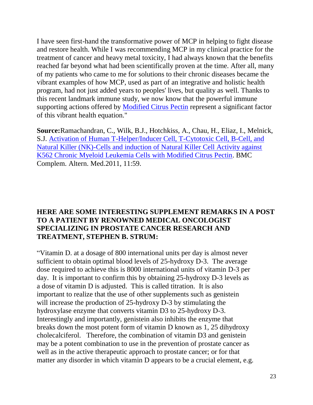I have seen first-hand the transformative power of MCP in helping to fight disease and restore health. While I was recommending MCP in my clinical practice for the treatment of cancer and heavy metal toxicity, I had always known that the benefits reached far beyond what had been scientifically proven at the time. After all, many of my patients who came to me for solutions to their chronic diseases became the vibrant examples of how MCP, used as part of an integrative and holistic health program, had not just added years to peoples' lives, but quality as well. Thanks to this recent landmark immune study, we now know that the powerful immune supporting actions offered by [Modified Citrus Pectin](http://www.dreliaz.org/recommended-product/natural-cancer-support) represent a significant factor of this vibrant health equation."

**Source:**Ramachandran, C., Wilk, B.J., Hotchkiss, A., Chau, H., Eliaz, I., Melnick, S.J. [Activation of Human T-Helper/Inducer Cell, T-Cytotoxic Cell, B-Cell, and](http://www.biomedcentral.com/1472-6882/11/59/abstract)  [Natural Killer \(NK\)-Cells and induction of Natural Killer Cell Activity against](http://www.biomedcentral.com/1472-6882/11/59/abstract)  [K562 Chronic Myeloid Leukemia Cells with Modified Citrus Pectin.](http://www.biomedcentral.com/1472-6882/11/59/abstract) BMC Complem. Altern. Med.2011, 11:59.

#### **HERE ARE SOME INTERESTING SUPPLEMENT REMARKS IN A POST TO A PATIENT BY RENOWNED MEDICAL ONCOLOGIST SPECIALIZING IN PROSTATE CANCER RESEARCH AND TREATMENT, STEPHEN B. STRUM:**

"Vitamin D. at a dosage of 800 international units per day is almost never sufficient to obtain optimal blood levels of 25-hydroxy D-3. The average dose required to achieve this is 8000 international units of vitamin D-3 per day. It is important to confirm this by obtaining 25-hydroxy D-3 levels as a dose of vitamin D is adjusted. This is called titration. It is also important to realize that the use of other supplements such as genistein will increase the production of 25-hydroxy D-3 by stimulating the hydroxylase enzyme that converts vitamin D3 to 25-hydroxy D-3. Interestingly and importantly, genistein also inhibits the enzyme that breaks down the most potent form of vitamin D known as 1, 25 dihydroxy cholecalciferol. Therefore, the combination of vitamin D3 and genistein may be a potent combination to use in the prevention of prostate cancer as well as in the active therapeutic approach to prostate cancer; or for that matter any disorder in which vitamin D appears to be a crucial element, e.g.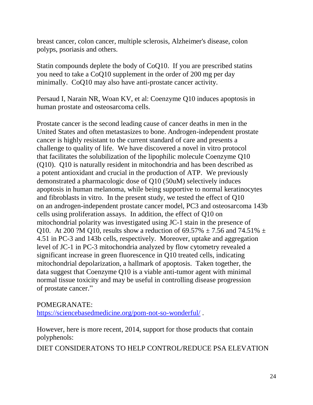breast cancer, colon cancer, multiple sclerosis, Alzheimer's disease, colon polyps, psoriasis and others.

Statin compounds deplete the body of CoQ10. If you are prescribed statins you need to take a CoQ10 supplement in the order of 200 mg per day minimally. CoQ10 may also have anti-prostate cancer activity.

Persaud I, Narain NR, Woan KV, et al: Coenzyme Q10 induces apoptosis in human prostate and osteosarcoma cells.

Prostate cancer is the second leading cause of cancer deaths in men in the United States and often metastasizes to bone. Androgen-independent prostate cancer is highly resistant to the current standard of care and presents a challenge to quality of life. We have discovered a novel in vitro protocol that facilitates the solubilization of the lipophilic molecule Coenzyme Q10 (Q10). Q10 is naturally resident in mitochondria and has been described as a potent antioxidant and crucial in the production of ATP. We previously demonstrated a pharmacologic dose of Q10 (50uM) selectively induces apoptosis in human melanoma, while being supportive to normal keratinocytes and fibroblasts in vitro. In the present study, we tested the effect of Q10 on an androgen-independent prostate cancer model, PC3 and osteosarcoma 143b cells using proliferation assays. In addition, the effect of Q10 on mitochondrial polarity was investigated using JC-1 stain in the presence of Q10. At 200 ?M Q10, results show a reduction of  $69.57\% \pm 7.56$  and  $74.51\% \pm 7.56$ 4.51 in PC-3 and 143b cells, respectively. Moreover, uptake and aggregation level of JC-1 in PC-3 mitochondria analyzed by flow cytometry revealed a significant increase in green fluorescence in Q10 treated cells, indicating mitochondrial depolarization, a hallmark of apoptosis. Taken together, the data suggest that Coenzyme Q10 is a viable anti-tumor agent with minimal normal tissue toxicity and may be useful in controlling disease progression of prostate cancer."

#### POMEGRANATE:

<https://sciencebasedmedicine.org/pom-not-so-wonderful/> .

However, here is more recent, 2014, support for those products that contain polyphenols:

DIET CONSIDERATONS TO HELP CONTROL/REDUCE PSA ELEVATION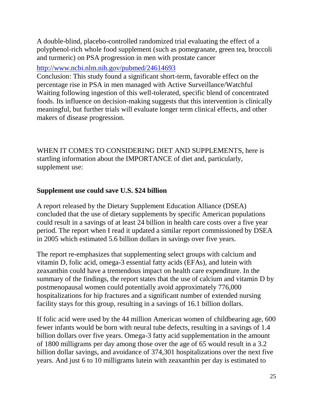A double-blind, placebo-controlled randomized trial evaluating the effect of a polyphenol-rich whole food supplement (such as pomegranate, green tea, broccoli and turmeric) on PSA progression in men with prostate cancer

### <http://www.ncbi.nlm.nih.gov/pubmed/24614693>

Conclusion: This study found a significant short-term, favorable effect on the percentage rise in PSA in men managed with Active Surveillance/Watchful Waiting following ingestion of this well-tolerated, specific blend of concentrated foods. Its influence on decision-making suggests that this intervention is clinically meaningful, but further trials will evaluate longer term clinical effects, and other makers of disease progression.

WHEN IT COMES TO CONSIDERING DIET AND SUPPLEMENTS, here is startling information about the IMPORTANCE of diet and, particularly, supplement use:

### **Supplement use could save U.S. \$24 billion**

A report released by the Dietary Supplement Education Alliance (DSEA) concluded that the use of dietary supplements by specific American populations could result in a savings of at least 24 billion in health care costs over a five year period. The report when I read it updated a similar report commissioned by DSEA in 2005 which estimated 5.6 billion dollars in savings over five years.

The report re-emphasizes that supplementing select groups with calcium and vitamin D, folic acid, omega-3 essential fatty acids (EFAs), and lutein with zeaxanthin could have a tremendous impact on health care expenditure. In the summary of the findings, the report states that the use of calcium and vitamin D by postmenopausal women could potentially avoid approximately 776,000 hospitalizations for hip fractures and a significant number of extended nursing facility stays for this group, resulting in a savings of 16.1 billion dollars.

If folic acid were used by the 44 million American women of childbearing age, 600 fewer infants would be born with neural tube defects, resulting in a savings of 1.4 billion dollars over five years. Omega-3 fatty acid supplementation in the amount of 1800 milligrams per day among those over the age of 65 would result in a 3.2 billion dollar savings, and avoidance of 374,301 hospitalizations over the next five years. And just 6 to 10 milligrams lutein with zeaxanthin per day is estimated to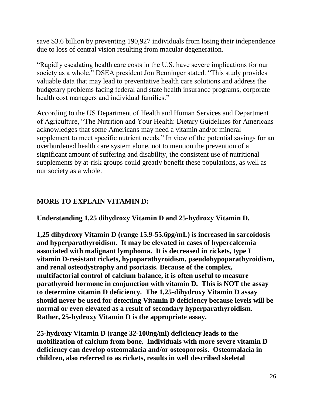save \$3.6 billion by preventing 190,927 individuals from losing their independence due to loss of central vision resulting from macular degeneration.

"Rapidly escalating health care costs in the U.S. have severe implications for our society as a whole," DSEA president Jon Benninger stated. "This study provides valuable data that may lead to preventative health care solutions and address the budgetary problems facing federal and state health insurance programs, corporate health cost managers and individual families."

According to the US Department of Health and Human Services and Department of Agriculture, "The Nutrition and Your Health: Dietary Guidelines for Americans acknowledges that some Americans may need a vitamin and/or mineral supplement to meet specific nutrient needs." In view of the potential savings for an overburdened health care system alone, not to mention the prevention of a significant amount of suffering and disability, the consistent use of nutritional supplements by at-risk groups could greatly benefit these populations, as well as our society as a whole.

# **MORE TO EXPLAIN VITAMIN D:**

**Understanding 1,25 dihydroxy Vitamin D and 25-hydroxy Vitamin D.**

**1,25 dihydroxy Vitamin D (range 15.9-55.6pg/mL) is increased in sarcoidosis and hyperparathyroidism. It may be elevated in cases of hypercalcemia associated with malignant lymphoma. It is decreased in rickets, type I vitamin D-resistant rickets, hypoparathyroidism, pseudohypoparathyroidism, and renal osteodystrophy and psoriasis. Because of the complex, multifactorial control of calcium balance, it is often useful to measure parathyroid hormone in conjunction with vitamin D. This is NOT the assay to determine vitamin D deficiency. The 1,25-dihydroxy Vitamin D assay should never be used for detecting Vitamin D deficiency because levels will be normal or even elevated as a result of secondary hyperparathyroidism. Rather, 25-hydroxy Vitamin D is the appropriate assay.**

**25-hydroxy Vitamin D (range 32-100ng/ml) deficiency leads to the mobilization of calcium from bone. Individuals with more severe vitamin D deficiency can develop osteomalacia and/or osteoporosis. Osteomalacia in children, also referred to as rickets, results in well described skeletal**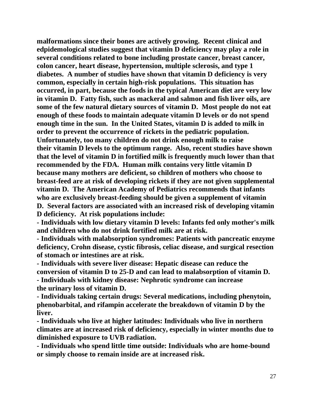**malformations since their bones are actively growing. Recent clinical and edpidemological studies suggest that vitamin D deficiency may play a role in several conditions related to bone including prostate cancer, breast cancer, colon cancer, heart disease, hypertension, multiple sclerosis, and type 1 diabetes. A number of studies have shown that vitamin D deficiency is very common, especially in certain high-risk populations. This situation has occurred, in part, because the foods in the typical American diet are very low in vitamin D. Fatty fish, such as mackeral and salmon and fish liver oils, are some of the few natural dietary sources of vitamin D. Most people do not eat enough of these foods to maintain adequate vitamin D levels or do not spend enough time in the sun. In the United States, vitamin D is added to milk in order to prevent the occurrence of rickets in the pediatric population. Unfortunately, too many children do not drink enough milk to raise their vitamin D levels to the optimum range. Also, recent studies have shown that the level of vitamin D in fortified milk is frequently much lower than that recommended by the FDA. Human milk contains very little vitamin D because many mothers are deficient, so children of mothers who choose to breast-feed are at risk of developing rickets if they are not given supplemental vitamin D. The American Academy of Pediatrics recommends that infants who are exclusively breast-feeding should be given a supplement of vitamin D. Several factors are associated with an increased risk of developing vitamin D deficiency. At risk populations include:**

**- Individuals with low dietary vitamin D levels: Infants fed only mother's milk and children who do not drink fortified milk are at risk.**

**- Individuals with malabsorption syndromes: Patients with pancreatic enzyme deficiency, Crohn disease, cystic fibrosis, celiac disease, and surgical resection of stomach or intestines are at risk.**

**- Individuals with severe liver disease: Hepatic disease can reduce the conversion of vitamin D to 25-D and can lead to malabsorption of vitamin D. - Individuals with kidney disease: Nephrotic syndrome can increase the urinary loss of vitamin D.**

**- Individuals taking certain drugs: Several medications, including phenytoin, phenobarbital, and rifampin accelerate the breakdown of vitamin D by the liver.**

**- Individuals who live at higher latitudes: Individuals who live in northern climates are at increased risk of deficiency, especially in winter months due to diminished exposure to UVB radiation.**

**- Individuals who spend little time outside: Individuals who are home-bound or simply choose to remain inside are at increased risk.**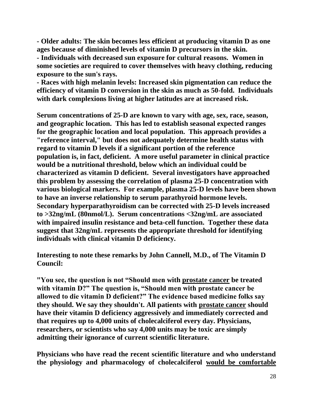**- Older adults: The skin becomes less efficient at producing vitamin D as one ages because of diminished levels of vitamin D precursors in the skin.**

**- Individuals with decreased sun exposure for cultural reasons. Women in some societies are required to cover themselves with heavy clothing, reducing exposure to the sun's rays.**

**- Races with high melanin levels: Increased skin pigmentation can reduce the efficiency of vitamin D conversion in the skin as much as 50-fold. Individuals with dark complexions living at higher latitudes are at increased risk.**

**Serum concentrations of 25-D are known to vary with age, sex, race, season, and geographic location. This has led to establish seasonal expected ranges for the geographic location and local population. This approach provides a "reference interval," but does not adequately determine health status with regard to vitamin D levels if a significant portion of the reference population is, in fact, deficient. A more useful parameter in clinical practice would be a nutritional threshold, below which an individual could be characterized as vitamin D deficient. Several investigators have approached this problem by assessing the correlation of plasma 25-D concentration with various biological markers. For example, plasma 25-D levels have been shown to have an inverse relationship to serum parathyroid hormone levels. Secondary hyperparathyroidism can be corrected with 25-D levels increased to >32ng/mL (80nmol/L). Serum concentrations <32ng/mL are associated with impaired insulin resistance and beta-cell function. Together these data suggest that 32ng/mL represents the appropriate threshold for identifying individuals with clinical vitamin D deficiency.**

**Interesting to note these remarks by John Cannell, M.D., of The Vitamin D Council:**

**"You see, the question is not "Should men with prostate cancer be treated with vitamin D?" The question is, "Should men with prostate cancer be allowed to die vitamin D deficient?" The evidence based medicine folks say they should. We say they shouldn't. All patients with prostate cancer should have their vitamin D deficiency aggressively and immediately corrected and that requires up to 4,000 units of cholecalciferol every day. Physicians, researchers, or scientists who say 4,000 units may be toxic are simply admitting their ignorance of current scientific literature.** 

**Physicians who have read the recent scientific literature and who understand the physiology and pharmacology of cholecalciferol would be comfortable**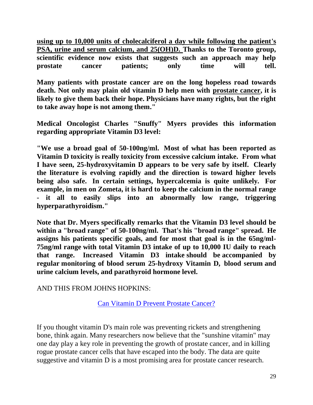**using up to 10,000 units of cholecalciferol a day while following the patient's PSA, urine and serum calcium, and 25(OH)D. Thanks to the Toronto group, scientific evidence now exists that suggests such an approach may help prostate cancer patients; only time will tell.** 

**Many patients with prostate cancer are on the long hopeless road towards death. Not only may plain old vitamin D help men with prostate cancer, it is likely to give them back their hope. Physicians have many rights, but the right to take away hope is not among them."**

**Medical Oncologist Charles "Snuffy" Myers provides this information regarding appropriate Vitamin D3 level:**

**"We use a broad goal of 50-100ng/ml. Most of what has been reported as Vitamin D toxicity is really toxicity from excessive calcium intake. From what I have seen, 25-hydroxyvitamin D appears to be very safe by itself. Clearly the literature is evolving rapidly and the direction is toward higher levels being also safe. In certain settings, hypercalcemia is quite unlikely. For example, in men on Zometa, it is hard to keep the calcium in the normal range - it all to easily slips into an abnormally low range, triggering hyperparathyroidism."**

**Note that Dr. Myers specifically remarks that the Vitamin D3 level should be within a "broad range" of 50-100ng/ml. That's his "broad range" spread. He assigns his patients specific goals, and for most that goal is in the 65ng/ml-75ng/ml range with total Vitamin D3 intake of up to 10,000 IU daily to reach that range. Increased Vitamin D3 intake should be accompanied by regular monitoring of blood serum 25-hydroxy Vitamin D, blood serum and urine calcium levels, and parathyroid hormone level.**

AND THIS FROM JOHNS HOPKINS:

[Can Vitamin D Prevent Prostate Cancer?](http://www.johnshopkinshealthalerts.com/alerts/prostate_disorders/JohnsHopkinsProstateDisordersHealthAlert_2939-1.html?ET=johnshopkins_blog:e15869:234339a:&st=email&st=email&s=EPH_090319_005)

If you thought vitamin D's main role was preventing rickets and strengthening bone, think again. Many researchers now believe that the "sunshine vitamin" may one day play a key role in preventing the growth of prostate cancer, and in killing rogue prostate cancer cells that have escaped into the body. The data are quite suggestive and vitamin D is a most promising area for prostate cancer research.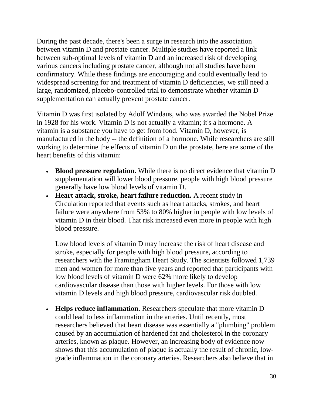During the past decade, there's been a surge in research into the association between vitamin D and prostate cancer. Multiple studies have reported a link between sub-optimal levels of vitamin D and an increased risk of developing various cancers including prostate cancer, although not all studies have been confirmatory. While these findings are encouraging and could eventually lead to widespread screening for and treatment of vitamin D deficiencies, we still need a large, randomized, placebo-controlled trial to demonstrate whether vitamin D supplementation can actually prevent prostate cancer.

Vitamin D was first isolated by Adolf Windaus, who was awarded the Nobel Prize in 1928 for his work. Vitamin D is not actually a vitamin; it's a hormone. A vitamin is a substance you have to get from food. Vitamin D, however, is manufactured in the body -- the definition of a hormone. While researchers are still working to determine the effects of vitamin D on the prostate, here are some of the heart benefits of this vitamin:

- **Blood pressure regulation.** While there is no direct evidence that vitamin D supplementation will lower blood pressure, people with high blood pressure generally have low blood levels of vitamin D.
- **Heart attack, stroke, heart failure reduction.** A recent study in Circulation reported that events such as heart attacks, strokes, and heart failure were anywhere from 53% to 80% higher in people with low levels of vitamin D in their blood. That risk increased even more in people with high blood pressure.

Low blood levels of vitamin D may increase the risk of heart disease and stroke, especially for people with high blood pressure, according to researchers with the Framingham Heart Study. The scientists followed 1,739 men and women for more than five years and reported that participants with low blood levels of vitamin D were 62% more likely to develop cardiovascular disease than those with higher levels. For those with low vitamin D levels and high blood pressure, cardiovascular risk doubled.

• **Helps reduce inflammation.** Researchers speculate that more vitamin D could lead to less inflammation in the arteries. Until recently, most researchers believed that heart disease was essentially a "plumbing" problem caused by an accumulation of hardened fat and cholesterol in the coronary arteries, known as plaque. However, an increasing body of evidence now shows that this accumulation of plaque is actually the result of chronic, lowgrade inflammation in the coronary arteries. Researchers also believe that in